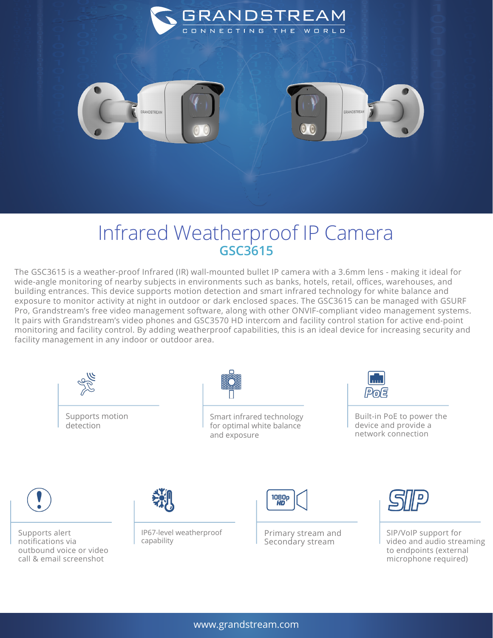

## Infrared Weatherproof IP Camera **GSC3615**

The GSC3615 is a weather-proof Infrared (IR) wall-mounted bullet IP camera with a 3.6mm lens - making it ideal for wide-angle monitoring of nearby subjects in environments such as banks, hotels, retail, offices, warehouses, and building entrances. This device supports motion detection and smart infrared technology for white balance and exposure to monitor activity at night in outdoor or dark enclosed spaces. The GSC3615 can be managed with GSURF Pro, Grandstream's free video management software, along with other ONVIF-compliant video management systems. It pairs with Grandstream's video phones and GSC3570 HD intercom and facility control station for active end-point monitoring and facility control. By adding weatherproof capabilities, this is an ideal device for increasing security and facility management in any indoor or outdoor area.





Smart infrared technology for optimal white balance and exposure



Built-in PoE to power the device and provide a network connection



Supports alert notifications via outbound voice or video call & email screenshot



IP67-level weatherproof capability



Primary stream and Secondary stream



SIP/VoIP support for video and audio streaming to endpoints (external microphone required)